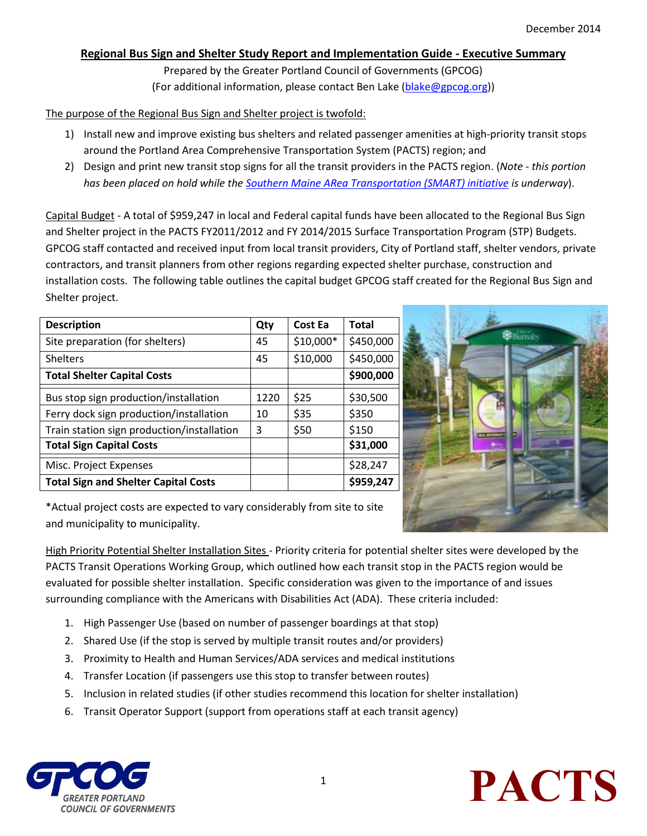## **Regional Bus Sign and Shelter Study Report and Implementation Guide - Executive Summary**

Prepared by the Greater Portland Council of Governments (GPCOG) (For additional information, please contact Ben Lake [\(blake@gpcog.org\)](mailto:blake@gpcog.org))

## The purpose of the Regional Bus Sign and Shelter project is twofold:

- 1) Install new and improve existing bus shelters and related passenger amenities at high-priority transit stops around the Portland Area Comprehensive Transportation System (PACTS) region; and
- 2) Design and print new transit stop signs for all the transit providers in the PACTS region. (*Note - this portion has been placed on hold while th[e Southern Maine ARea Transportation \(SMART\) initiative](http://www.gpcog.org/transportation-land-use/transit/southern-maine-area-transportation-initiative/) is underway*).

Capital Budget - A total of \$959,247 in local and Federal capital funds have been allocated to the Regional Bus Sign and Shelter project in the PACTS FY2011/2012 and FY 2014/2015 Surface Transportation Program (STP) Budgets. GPCOG staff contacted and received input from local transit providers, City of Portland staff, shelter vendors, private contractors, and transit planners from other regions regarding expected shelter purchase, construction and installation costs. The following table outlines the capital budget GPCOG staff created for the Regional Bus Sign and Shelter project.

| <b>Description</b>                          | Qty  | Cost Ea   | <b>Total</b> |
|---------------------------------------------|------|-----------|--------------|
| Site preparation (for shelters)             | 45   | \$10,000* | \$450,000    |
| <b>Shelters</b>                             | 45   | \$10,000  | \$450,000    |
| <b>Total Shelter Capital Costs</b>          |      |           | \$900,000    |
| Bus stop sign production/installation       | 1220 | \$25      | \$30,500     |
| Ferry dock sign production/installation     | 10   | \$35      | \$350        |
| Train station sign production/installation  | 3    | \$50      | \$150        |
| <b>Total Sign Capital Costs</b>             |      |           | \$31,000     |
| Misc. Project Expenses                      |      |           | \$28,247     |
| <b>Total Sign and Shelter Capital Costs</b> |      |           | \$959,247    |



\*Actual project costs are expected to vary considerably from site to site and municipality to municipality.

High Priority Potential Shelter Installation Sites - Priority criteria for potential shelter sites were developed by the PACTS Transit Operations Working Group, which outlined how each transit stop in the PACTS region would be evaluated for possible shelter installation. Specific consideration was given to the importance of and issues surrounding compliance with the Americans with Disabilities Act (ADA). These criteria included:

- 1. High Passenger Use (based on number of passenger boardings at that stop)
- 2. Shared Use (if the stop is served by multiple transit routes and/or providers)
- 3. Proximity to Health and Human Services/ADA services and medical institutions
- 4. Transfer Location (if passengers use this stop to transfer between routes)
- 5. Inclusion in related studies (if other studies recommend this location for shelter installation)
- 6. Transit Operator Support (support from operations staff at each transit agency)



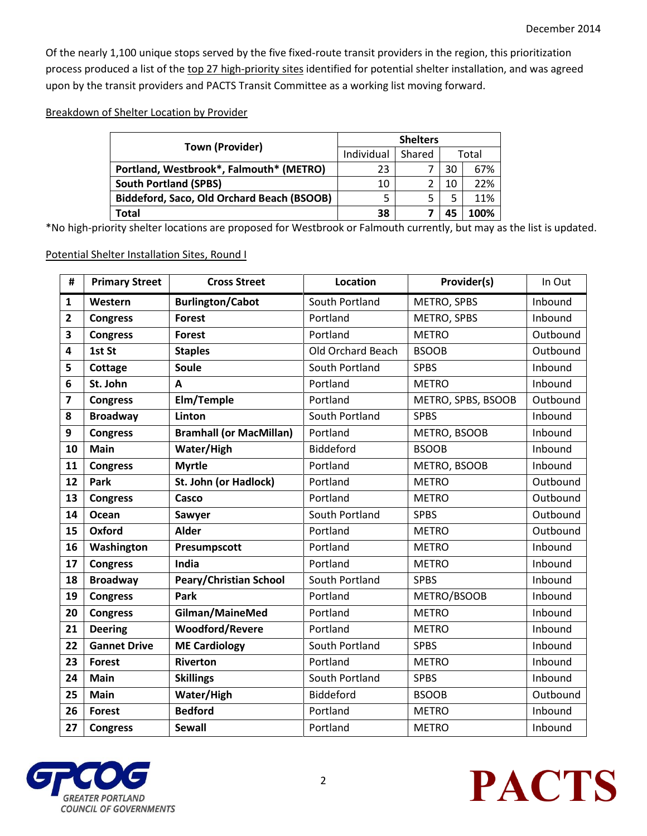Of the nearly 1,100 unique stops served by the five fixed-route transit providers in the region, this prioritization process produced a list of the top 27 high-priority sites identified for potential shelter installation, and was agreed upon by the transit providers and PACTS Transit Committee as a working list moving forward.

Breakdown of Shelter Location by Provider

| <b>Town (Provider)</b>                     | <b>Shelters</b> |        |       |      |
|--------------------------------------------|-----------------|--------|-------|------|
|                                            | Individual      | Shared | Total |      |
| Portland, Westbrook*, Falmouth* (METRO)    | 23              |        | 30    | 67%  |
| <b>South Portland (SPBS)</b>               | 10              |        | 10    | 22%  |
| Biddeford, Saco, Old Orchard Beach (BSOOB) |                 | 5      | 5     | 11%  |
| Total                                      | 38              |        | 45    | 100% |

\*No high-priority shelter locations are proposed for Westbrook or Falmouth currently, but may as the list is updated.

Potential Shelter Installation Sites, Round I

| #                       | <b>Primary Street</b> | <b>Cross Street</b>            | Location          | Provider(s)        | In Out   |
|-------------------------|-----------------------|--------------------------------|-------------------|--------------------|----------|
| 1                       | Western               | <b>Burlington/Cabot</b>        | South Portland    | METRO, SPBS        | Inbound  |
| $\overline{\mathbf{2}}$ | <b>Congress</b>       | <b>Forest</b>                  | Portland          | METRO, SPBS        | Inbound  |
| 3                       | <b>Congress</b>       | <b>Forest</b>                  | Portland          | <b>METRO</b>       | Outbound |
| 4                       | 1st St                | <b>Staples</b>                 | Old Orchard Beach | <b>BSOOB</b>       | Outbound |
| 5                       | Cottage               | <b>Soule</b>                   | South Portland    | <b>SPBS</b>        | Inbound  |
| 6                       | St. John              | A                              | Portland          | <b>METRO</b>       | Inbound  |
| $\overline{\mathbf{z}}$ | <b>Congress</b>       | Elm/Temple                     | Portland          | METRO, SPBS, BSOOB | Outbound |
| 8                       | <b>Broadway</b>       | Linton                         | South Portland    | <b>SPBS</b>        | Inbound  |
| 9                       | <b>Congress</b>       | <b>Bramhall (or MacMillan)</b> | Portland          | METRO, BSOOB       | Inbound  |
| 10                      | <b>Main</b>           | Water/High                     | Biddeford         | <b>BSOOB</b>       | Inbound  |
| 11                      | <b>Congress</b>       | <b>Myrtle</b>                  | Portland          | METRO, BSOOB       | Inbound  |
| 12                      | Park                  | St. John (or Hadlock)          | Portland          | <b>METRO</b>       | Outbound |
| 13                      | <b>Congress</b>       | Casco                          | Portland          | <b>METRO</b>       | Outbound |
| 14                      | Ocean                 | Sawyer                         | South Portland    | <b>SPBS</b>        | Outbound |
| 15                      | Oxford                | <b>Alder</b>                   | Portland          | <b>METRO</b>       | Outbound |
| 16                      | Washington            | Presumpscott                   | Portland          | <b>METRO</b>       | Inbound  |
| 17                      | <b>Congress</b>       | India                          | Portland          | <b>METRO</b>       | Inbound  |
| 18                      | <b>Broadway</b>       | <b>Peary/Christian School</b>  | South Portland    | <b>SPBS</b>        | Inbound  |
| 19                      | <b>Congress</b>       | Park                           | Portland          | METRO/BSOOB        | Inbound  |
| 20                      | <b>Congress</b>       | Gilman/MaineMed                | Portland          | <b>METRO</b>       | Inbound  |
| 21                      | <b>Deering</b>        | <b>Woodford/Revere</b>         | Portland          | <b>METRO</b>       | Inbound  |
| 22                      | <b>Gannet Drive</b>   | <b>ME Cardiology</b>           | South Portland    | <b>SPBS</b>        | Inbound  |
| 23                      | <b>Forest</b>         | <b>Riverton</b>                | Portland          | <b>METRO</b>       | Inbound  |
| 24                      | Main                  | <b>Skillings</b>               | South Portland    | <b>SPBS</b>        | Inbound  |
| 25                      | <b>Main</b>           | Water/High                     | Biddeford         | <b>BSOOB</b>       | Outbound |
| 26                      | <b>Forest</b>         | <b>Bedford</b>                 | Portland          | <b>METRO</b>       | Inbound  |
| 27                      | <b>Congress</b>       | <b>Sewall</b>                  | Portland          | <b>METRO</b>       | Inbound  |